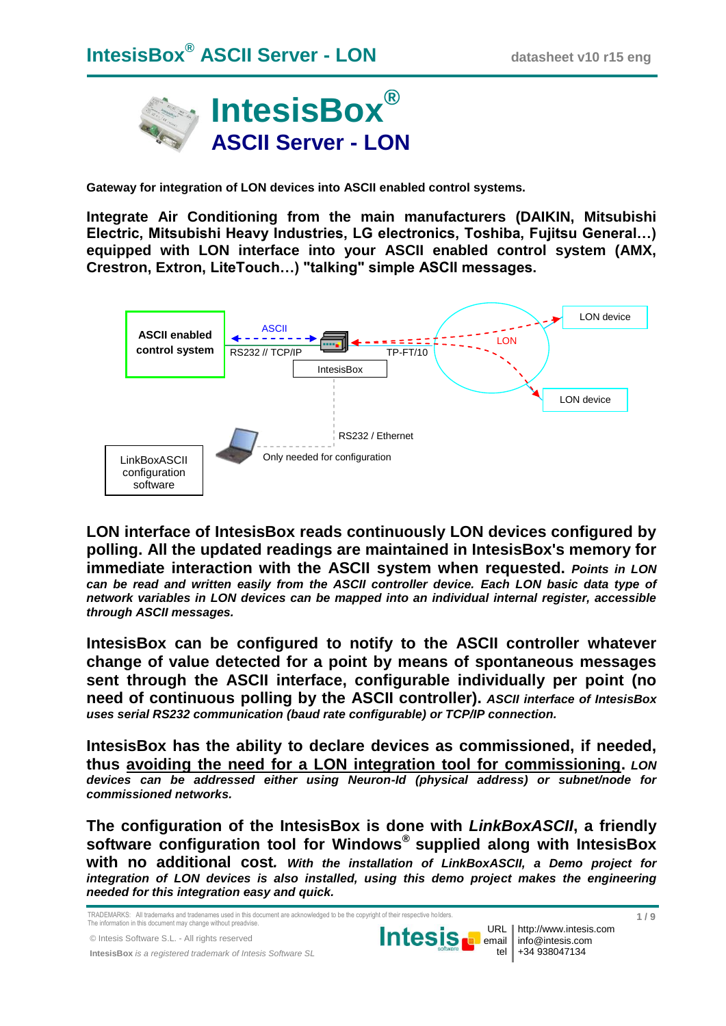

**Gateway for integration of LON devices into ASCII enabled control systems.**

**Integrate Air Conditioning from the main manufacturers (DAIKIN, Mitsubishi Electric, Mitsubishi Heavy Industries, LG electronics, Toshiba, Fujitsu General…) equipped with LON interface into your ASCII enabled control system (AMX, Crestron, Extron, LiteTouch…) "talking" simple ASCII messages.** 



**LON interface of IntesisBox reads continuously LON devices configured by polling. All the updated readings are maintained in IntesisBox's memory for immediate interaction with the ASCII system when requested.** *Points in LON can be read and written easily from the ASCII controller device. Each LON basic data type of network variables in LON devices can be mapped into an individual internal register, accessible through ASCII messages.*

**IntesisBox can be configured to notify to the ASCII controller whatever change of value detected for a point by means of spontaneous messages sent through the ASCII interface, configurable individually per point (no need of continuous polling by the ASCII controller).** *ASCII interface of IntesisBox uses serial RS232 communication (baud rate configurable) or TCP/IP connection.*

**IntesisBox has the ability to declare devices as commissioned, if needed, thus avoiding the need for a LON integration tool for commissioning.** *LON devices can be addressed either using Neuron-Id (physical address) or subnet/node for commissioned networks.*

**The configuration of the IntesisBox is done with** *LinkBoxASCII***, a friendly software configuration tool for Windows® supplied along with IntesisBox with no additional cost***. With the installation of LinkBoxASCII, a Demo project for integration of LON devices is also installed, using this demo project makes the engineering needed for this integration easy and quick.*

TRADEMARKS: All trademarks and tradenames used in this document are acknowledged to be the copyright of their respective holders. The information in this document may change without preadvise.

© Intesis Software S.L. - All rights reserved

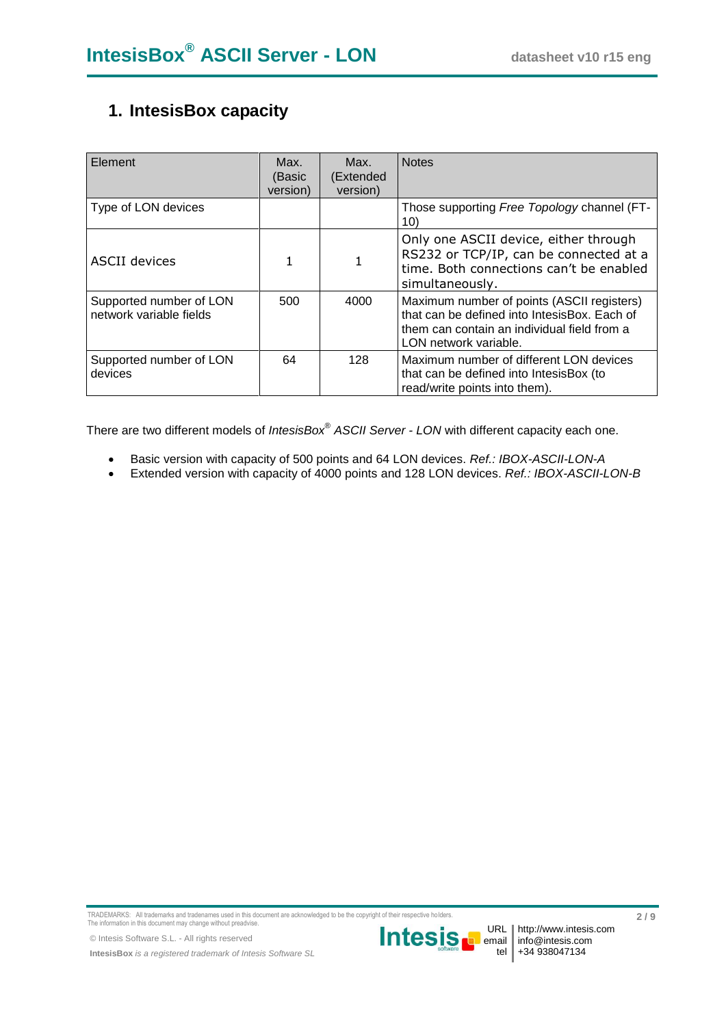# **1. IntesisBox capacity**

| Element                                            | Max.<br>(Basic<br>version) | Max.<br>(Extended<br>version) | <b>Notes</b>                                                                                                                                                       |
|----------------------------------------------------|----------------------------|-------------------------------|--------------------------------------------------------------------------------------------------------------------------------------------------------------------|
| Type of LON devices                                |                            |                               | Those supporting Free Topology channel (FT-<br>10)                                                                                                                 |
| ASCII devices                                      | 1                          |                               | Only one ASCII device, either through<br>RS232 or TCP/IP, can be connected at a<br>time. Both connections can't be enabled<br>simultaneously.                      |
| Supported number of LON<br>network variable fields | 500                        | 4000                          | Maximum number of points (ASCII registers)<br>that can be defined into IntesisBox. Each of<br>them can contain an individual field from a<br>LON network variable. |
| Supported number of LON<br>devices                 | 64                         | 128                           | Maximum number of different LON devices<br>that can be defined into IntesisBox (to<br>read/write points into them).                                                |

There are two different models of *IntesisBox*® *ASCII Server - LON* with different capacity each one.

- Basic version with capacity of 500 points and 64 LON devices. *Ref.: IBOX-ASCII-LON-A*
- Extended version with capacity of 4000 points and 128 LON devices. *Ref.: IBOX-ASCII-LON-B*

TRADEMARKS: All trademarks and tradenames used in this document are acknowledged to be the copyright of their respective holders. The information in this document may change without preadvise.

© Intesis Software S.L. - All rights reserved

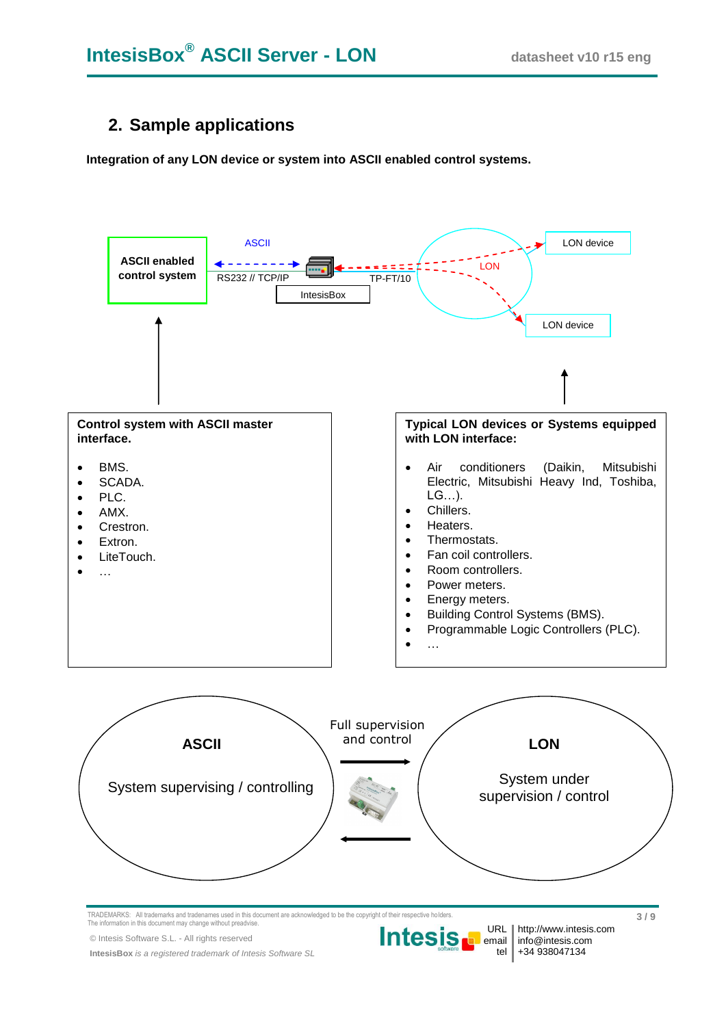# **2. Sample applications**

**Integration of any LON device or system into ASCII enabled control systems.**

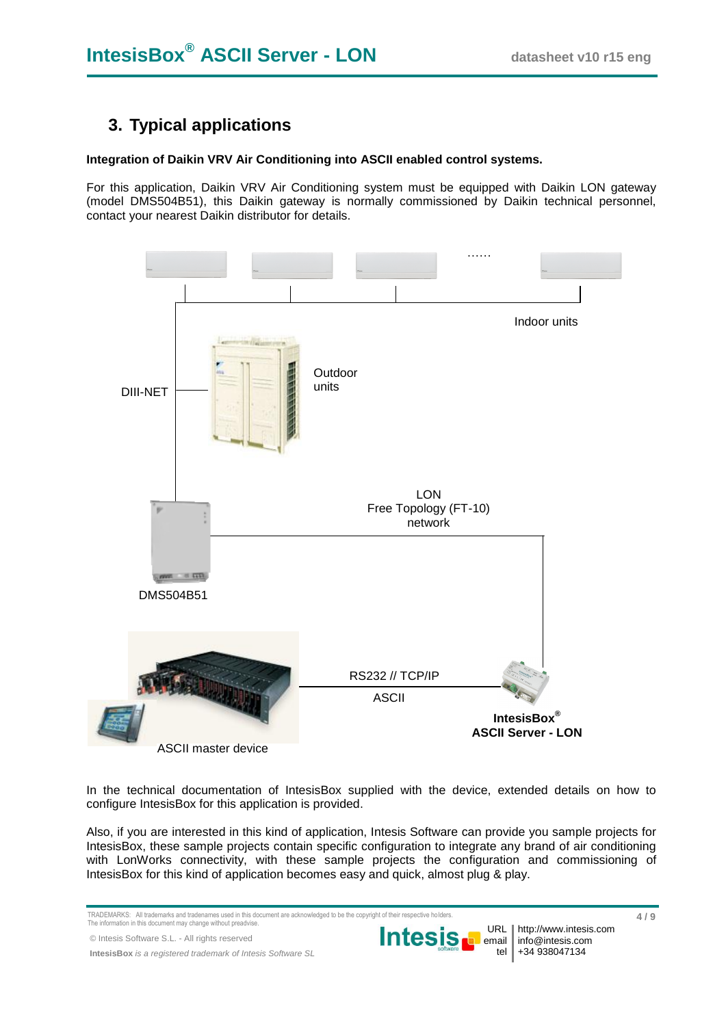# **3. Typical applications**

#### **Integration of Daikin VRV Air Conditioning into ASCII enabled control systems.**

For this application, Daikin VRV Air Conditioning system must be equipped with Daikin LON gateway (model DMS504B51), this Daikin gateway is normally commissioned by Daikin technical personnel, contact your nearest Daikin distributor for details.



In the technical documentation of IntesisBox supplied with the device, extended details on how to configure IntesisBox for this application is provided.

Also, if you are interested in this kind of application, Intesis Software can provide you sample projects for IntesisBox, these sample projects contain specific configuration to integrate any brand of air conditioning with LonWorks connectivity, with these sample projects the configuration and commissioning of IntesisBox for this kind of application becomes easy and quick, almost plug & play.

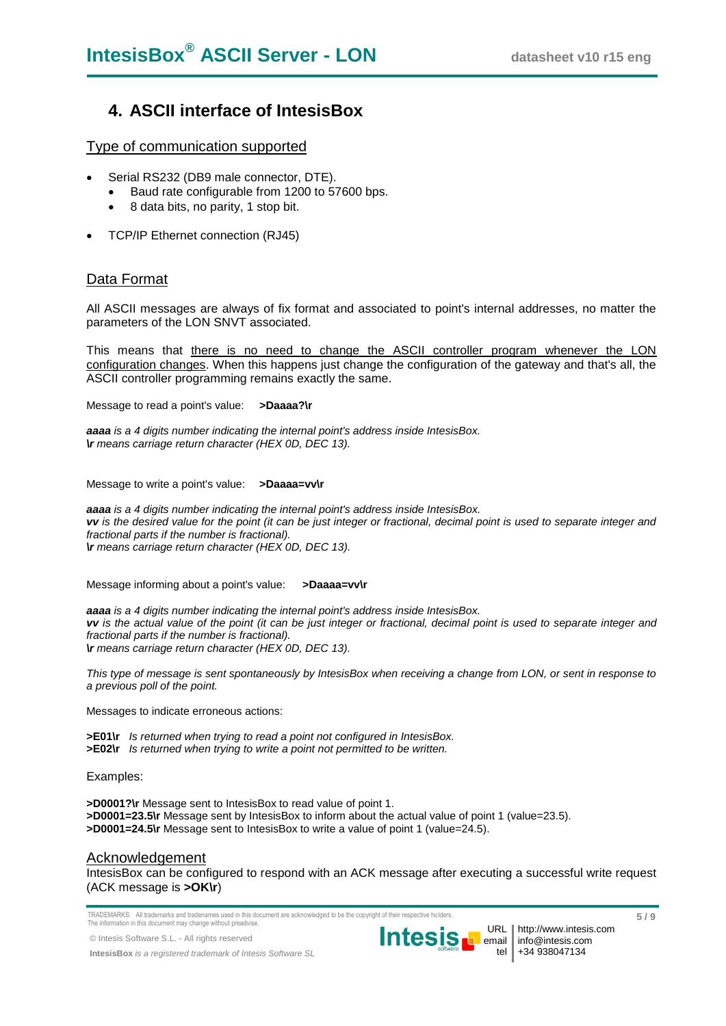## **4. ASCII interface of IntesisBox**

Type of communication supported

- Serial RS232 (DB9 male connector, DTE).
	- Baud rate configurable from 1200 to 57600 bps.
	- 8 data bits, no parity, 1 stop bit.
- TCP/IP Ethernet connection (RJ45)

### Data Format

All ASCII messages are always of fix format and associated to point's internal addresses, no matter the parameters of the LON SNVT associated.

This means that there is no need to change the ASCII controller program whenever the LON configuration changes. When this happens just change the configuration of the gateway and that's all, the ASCII controller programming remains exactly the same.

Message to read a point's value: **>Daaaa?\r**

*aaaa is a 4 digits number indicating the internal point's address inside IntesisBox. \r means carriage return character (HEX 0D, DEC 13).*

Message to write a point's value: **>Daaaa=vv\r**

*aaaa is a 4 digits number indicating the internal point's address inside IntesisBox. vv is the desired value for the point (it can be just integer or fractional, decimal point is used to separate integer and fractional parts if the number is fractional). \r means carriage return character (HEX 0D, DEC 13).*

Message informing about a point's value: **>Daaaa=vv\r**

*aaaa is a 4 digits number indicating the internal point's address inside IntesisBox. vv is the actual value of the point (it can be just integer or fractional, decimal point is used to separate integer and fractional parts if the number is fractional). \r means carriage return character (HEX 0D, DEC 13).*

*This type of message is sent spontaneously by IntesisBox when receiving a change from LON, or sent in response to a previous poll of the point.*

Messages to indicate erroneous actions:

**>E01\r** *Is returned when trying to read a point not configured in IntesisBox.* **>E02\r** *Is returned when trying to write a point not permitted to be written.*

Examples:

**>D0001?\r** Message sent to IntesisBox to read value of point 1. **>D0001=23.5\r** Message sent by IntesisBox to inform about the actual value of point 1 (value=23.5). **>D0001=24.5\r** Message sent to IntesisBox to write a value of point 1 (value=24.5).

#### Acknowledgement

IntesisBox can be configured to respond with an ACK message after executing a successful write request (ACK message is **>OK\r**)

TRADEMARKS: All trademarks and tradenames used in this document are acknowledged to be the copyright of their respective holders. The information in this document may change without preadvise.

© Intesis Software S.L. - All rights reserved

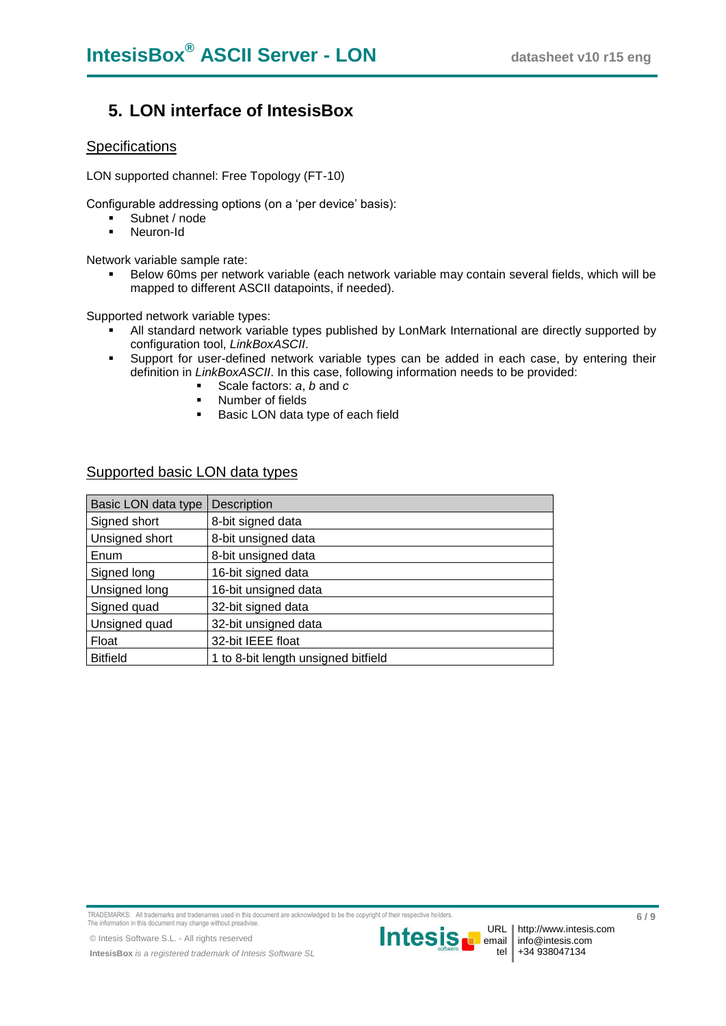## **5. LON interface of IntesisBox**

### **Specifications**

LON supported channel: Free Topology (FT-10)

Configurable addressing options (on a 'per device' basis):

- Subnet / node
- **Neuron-Id**

Network variable sample rate:

 Below 60ms per network variable (each network variable may contain several fields, which will be mapped to different ASCII datapoints, if needed).

Supported network variable types:

- All standard network variable types published by LonMark International are directly supported by configuration tool, *LinkBoxASCII*.
- Support for user-defined network variable types can be added in each case, by entering their definition in *LinkBoxASCII*. In this case, following information needs to be provided:
	- Scale factors: *a*, *b* and *c*
	- **Number of fields**
	- **Basic LON data type of each field**

### Supported basic LON data types

| Basic LON data type | <b>Description</b>                  |
|---------------------|-------------------------------------|
| Signed short        | 8-bit signed data                   |
| Unsigned short      | 8-bit unsigned data                 |
| Enum                | 8-bit unsigned data                 |
| Signed long         | 16-bit signed data                  |
| Unsigned long       | 16-bit unsigned data                |
| Signed quad         | 32-bit signed data                  |
| Unsigned quad       | 32-bit unsigned data                |
| Float               | 32-bit IEEE float                   |
| <b>Bitfield</b>     | 1 to 8-bit length unsigned bitfield |

TRADEMARKS: All trademarks and tradenames used in this document are acknowledged to be the copyright of their respective holders. The information in this document may change without preadvise.

© Intesis Software S.L. - All rights reserved

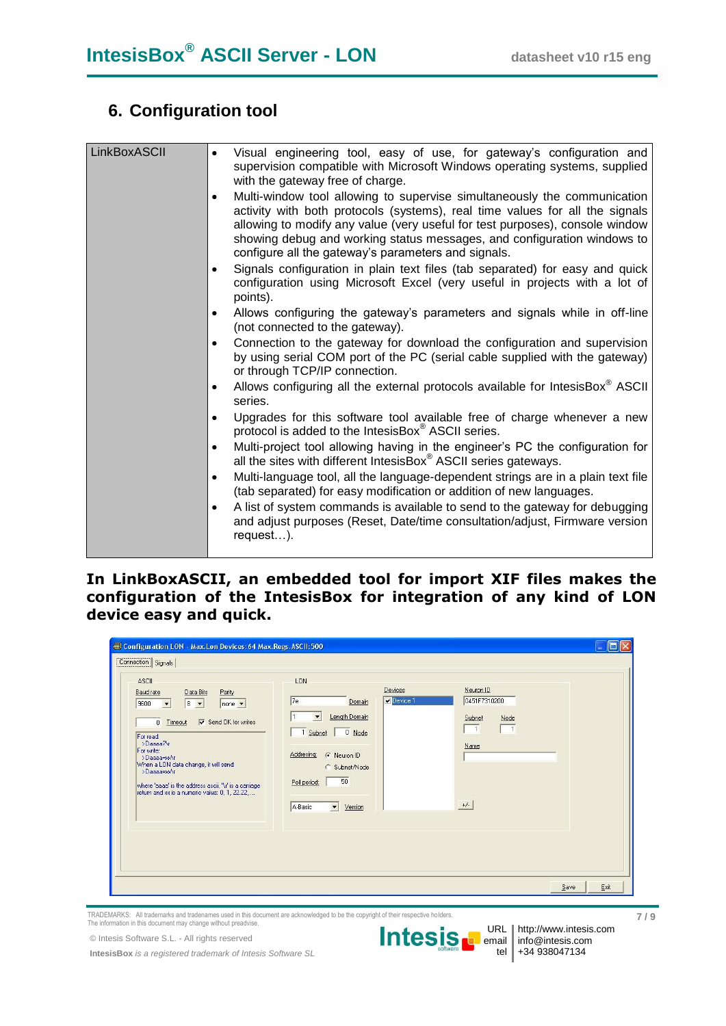# **6. Configuration tool**

| LinkBoxASCII | Visual engineering tool, easy of use, for gateway's configuration and<br>supervision compatible with Microsoft Windows operating systems, supplied<br>with the gateway free of charge.                                                                                                                                                                                     |
|--------------|----------------------------------------------------------------------------------------------------------------------------------------------------------------------------------------------------------------------------------------------------------------------------------------------------------------------------------------------------------------------------|
|              | Multi-window tool allowing to supervise simultaneously the communication<br>activity with both protocols (systems), real time values for all the signals<br>allowing to modify any value (very useful for test purposes), console window<br>showing debug and working status messages, and configuration windows to<br>configure all the gateway's parameters and signals. |
|              | Signals configuration in plain text files (tab separated) for easy and quick<br>configuration using Microsoft Excel (very useful in projects with a lot of<br>points).                                                                                                                                                                                                     |
|              | Allows configuring the gateway's parameters and signals while in off-line<br>$\bullet$<br>(not connected to the gateway).                                                                                                                                                                                                                                                  |
|              | Connection to the gateway for download the configuration and supervision<br>by using serial COM port of the PC (serial cable supplied with the gateway)<br>or through TCP/IP connection.                                                                                                                                                                                   |
|              | Allows configuring all the external protocols available for IntesisBox® ASCII<br>series.                                                                                                                                                                                                                                                                                   |
|              | Upgrades for this software tool available free of charge whenever a new<br>$\bullet$<br>protocol is added to the IntesisBox® ASCII series.                                                                                                                                                                                                                                 |
|              | Multi-project tool allowing having in the engineer's PC the configuration for<br>$\bullet$<br>all the sites with different IntesisBox® ASCII series gateways.                                                                                                                                                                                                              |
|              | Multi-language tool, all the language-dependent strings are in a plain text file<br>$\bullet$<br>(tab separated) for easy modification or addition of new languages.                                                                                                                                                                                                       |
|              | A list of system commands is available to send to the gateway for debugging<br>and adjust purposes (Reset, Date/time consultation/adjust, Firmware version<br>request).                                                                                                                                                                                                    |

### **In LinkBoxASCII, an embedded tool for import XIF files makes the configuration of the IntesisBox for integration of any kind of LON device easy and quick.**

| <b>ASCII</b><br>Baud rate<br>Data Bits<br>Parity<br>$8 -$<br>9600<br>$none -$<br>$\overline{\phantom{a}}$<br><b>▽</b> Send DK for writes<br>$\mathbf{0}$<br>Timeout<br>For read:<br>>Daaaa?\r<br>For write:<br>>Daaaa=xx\r<br>When a LON data change, it will send:<br>>Daaaa=xx\r<br>where 'aaaa' is the address ascii, '\r' is a carriage<br>return and xx is a numeric value: 0, 1, 22.22, | LON<br>7e<br>Domain<br>Length Domain<br>$\blacktriangledown$<br>1 Subnet<br>$0$ Node<br>Addresing:<br>R Neuron ID<br>C Subnet/Node<br>50<br>Poll period: | Devices<br>Device 1 | Neuron ID<br>0451F7310200<br>Node<br>Subnet<br>Name |      |
|-----------------------------------------------------------------------------------------------------------------------------------------------------------------------------------------------------------------------------------------------------------------------------------------------------------------------------------------------------------------------------------------------|----------------------------------------------------------------------------------------------------------------------------------------------------------|---------------------|-----------------------------------------------------|------|
|                                                                                                                                                                                                                                                                                                                                                                                               | A-Basic<br>$\vert \cdot \vert$<br>Version                                                                                                                |                     | $+/-$<br>Save                                       | Exit |

TRADEMARKS: All trademarks and tradenames used in this document are acknowledged to be the copyright of their respective holders. The information in this document may change without preadvise.

© Intesis Software S.L. - All rights reserved



http://www.intesis.com info@intesis.com +34 938047134

 **7 / 9**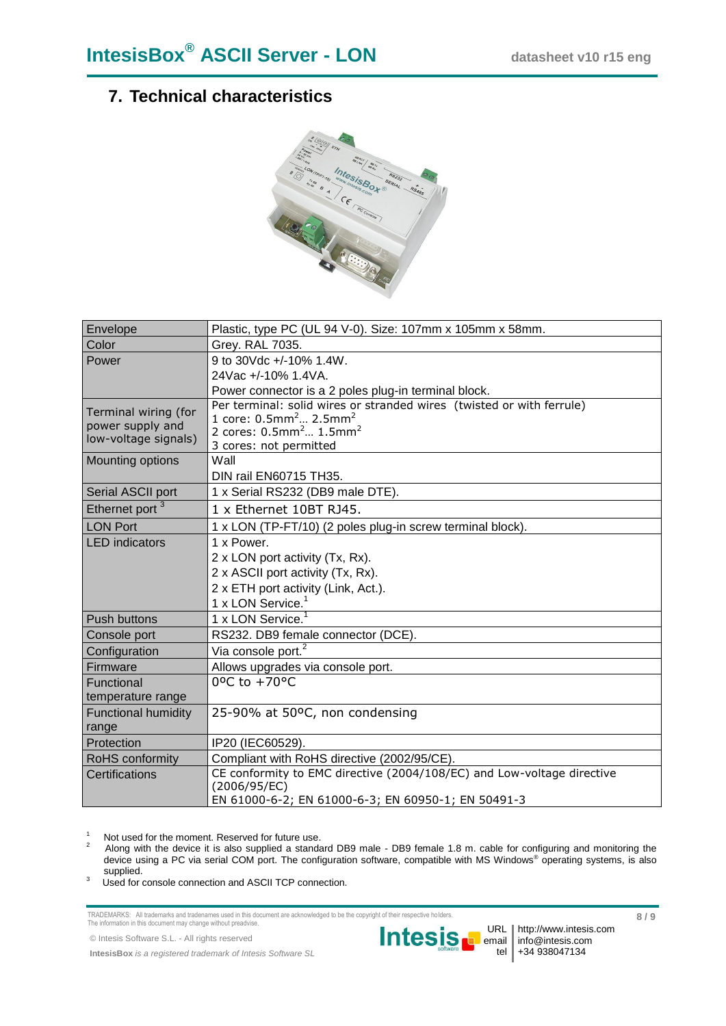# **7. Technical characteristics**



| Envelope                   | Plastic, type PC (UL 94 V-0). Size: 107mm x 105mm x 58mm.                                                                 |
|----------------------------|---------------------------------------------------------------------------------------------------------------------------|
| Color                      | Grey. RAL 7035.                                                                                                           |
| Power                      | 9 to 30Vdc +/-10% 1.4W.                                                                                                   |
|                            | 24Vac +/-10% 1.4VA.                                                                                                       |
|                            | Power connector is a 2 poles plug-in terminal block.                                                                      |
| Terminal wiring (for       | Per terminal: solid wires or stranded wires (twisted or with ferrule)<br>1 core: $0.5$ mm <sup>2</sup> 2.5mm <sup>2</sup> |
| power supply and           | 2 cores: $0.5$ mm <sup>2</sup> $1.5$ mm <sup>2</sup>                                                                      |
| low-voltage signals)       | 3 cores: not permitted                                                                                                    |
| <b>Mounting options</b>    | Wall                                                                                                                      |
|                            | <b>DIN rail EN60715 TH35.</b>                                                                                             |
| Serial ASCII port          | 1 x Serial RS232 (DB9 male DTE).                                                                                          |
| Ethernet port <sup>3</sup> | 1 x Ethernet 10BT RJ45.                                                                                                   |
| <b>LON Port</b>            | 1 x LON (TP-FT/10) (2 poles plug-in screw terminal block).                                                                |
| <b>LED</b> indicators      | 1 x Power.                                                                                                                |
|                            | 2 x LON port activity (Tx, Rx).                                                                                           |
|                            | 2 x ASCII port activity (Tx, Rx).                                                                                         |
|                            | 2 x ETH port activity (Link, Act.).                                                                                       |
|                            | 1 x LON Service. <sup>1</sup>                                                                                             |
| <b>Push buttons</b>        | 1 x LON Service.                                                                                                          |
| Console port               | RS232. DB9 female connector (DCE).                                                                                        |
| Configuration              | Via console port. <sup>2</sup>                                                                                            |
| Firmware                   | Allows upgrades via console port.                                                                                         |
| Functional                 | 0°C to +70°C                                                                                                              |
| temperature range          |                                                                                                                           |
| <b>Functional humidity</b> | 25-90% at 50°C, non condensing                                                                                            |
| range                      |                                                                                                                           |
| Protection                 | IP20 (IEC60529).                                                                                                          |
| RoHS conformity            | Compliant with RoHS directive (2002/95/CE).                                                                               |
| Certifications             | CE conformity to EMC directive (2004/108/EC) and Low-voltage directive                                                    |
|                            | (2006/95/EC)<br>EN 61000-6-2; EN 61000-6-3; EN 60950-1; EN 50491-3                                                        |

1 Not used for the moment. Reserved for future use.

2 Along with the device it is also supplied a standard DB9 male - DB9 female 1.8 m. cable for configuring and monitoring the device using a PC via serial COM port. The configuration software, compatible with MS Windows® operating systems, is also supplied. 3

Used for console connection and ASCII TCP connection.

TRADEMARKS: All trademarks and tradenames used in this document are acknowledged to be the copyright of their respective holders. The information in this document may change without preadvise.

© Intesis Software S.L. - All rights reserved

**IntesisBox** *is a registered trademark of Intesis Software SL*



 **8 / 9**